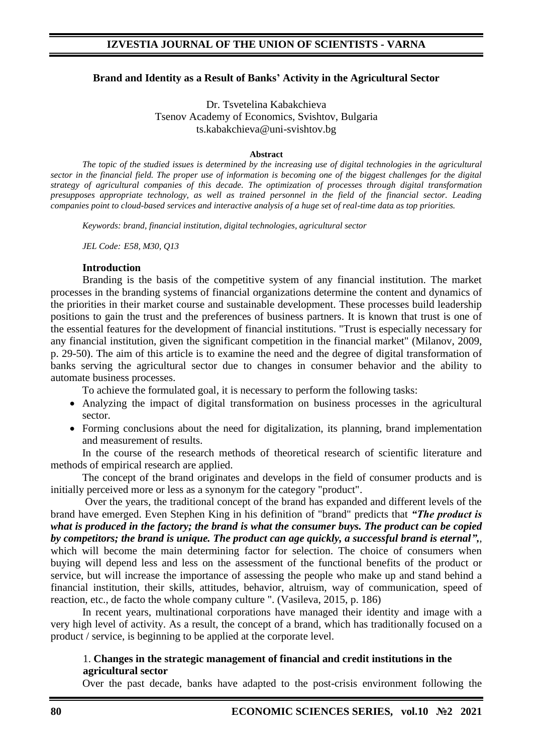### **Brand and Identity as a Result of Banks' Activity in the Agricultural Sector**

Dr. Tsvetelina Kabakchieva Tsenov Academy of Еconomics, Svishtov, Bulgaria ts.kabakchieva@uni-svishtov.bg

#### **Abstract**

*The topic of the studied issues is determined by the increasing use of digital technologies in the agricultural sector in the financial field. The proper use of information is becoming one of the biggest challenges for the digital strategy of agricultural companies of this decade. The optimization of processes through digital transformation presupposes appropriate technology, as well as trained personnel in the field of the financial sector. Leading companies point to cloud-based services and interactive analysis of a huge set of real-time data as top priorities.*

*Keywords: brand, financial institution, digital technologies, agricultural sector*

*JEL Code: E58, M30, Q13*

#### **Introduction**

Branding is the basis of the competitive system of any financial institution. The market processes in the branding systems of financial organizations determine the content and dynamics of the priorities in their market course and sustainable development. These processes build leadership positions to gain the trust and the preferences of business partners. It is known that trust is one of the essential features for the development of financial institutions. "Trust is especially necessary for any financial institution, given the significant competition in the financial market" (Milanov, 2009, p. 29-50). The aim of this article is to examine the need and the degree of digital transformation of banks serving the agricultural sector due to changes in consumer behavior and the ability to automate business processes.

To achieve the formulated goal, it is necessary to perform the following tasks:

- Analyzing the impact of digital transformation on business processes in the agricultural sector.
- Forming conclusions about the need for digitalization, its planning, brand implementation and measurement of results.

In the course of the research methods of theoretical research of scientific literature and methods of empirical research are applied.

The concept of the brand originates and develops in the field of consumer products and is initially perceived more or less as a synonym for the category "product".

Over the years, the traditional concept of the brand has expanded and different levels of the brand have emerged. Even Stephen King in his definition of "brand" predicts that *"The product is what is produced in the factory; the brand is what the consumer buys. The product can be copied by competitors; the brand is unique. The product can age quickly, a successful brand is eternal",*, which will become the main determining factor for selection. The choice of consumers when buying will depend less and less on the assessment of the functional benefits of the product or service, but will increase the importance of assessing the people who make up and stand behind a financial institution, their skills, attitudes, behavior, altruism, way of communication, speed of reaction, etc., de facto the whole company culture ". (Vasileva, 2015, p. 186)

In recent years, multinational corporations have managed their identity and image with a very high level of activity. As a result, the concept of a brand, which has traditionally focused on a product / service, is beginning to be applied at the corporate level.

### 1. **Changes in the strategic management of financial and credit institutions in the agricultural sector**

Over the past decade, banks have adapted to the post-crisis environment following the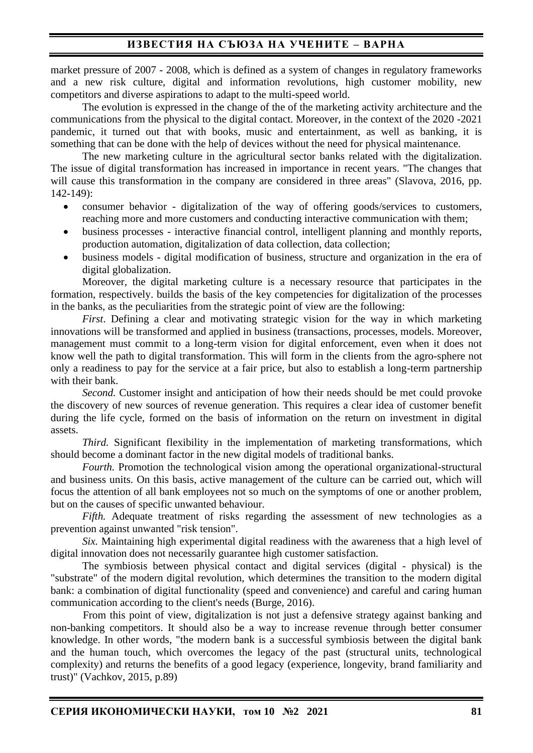market pressure of 2007 - 2008, which is defined as a system of changes in regulatory frameworks and a new risk culture, digital and information revolutions, high customer mobility, new competitors and diverse aspirations to adapt to the multi-speed world.

The evolution is expressed in the change of the of the marketing activity architecture and the communications from the physical to the digital contact. Moreover, in the context of the 2020 -2021 pandemic, it turned out that with books, music and entertainment, as well as banking, it is something that can be done with the help of devices without the need for physical maintenance.

The new marketing culture in the agricultural sector banks related with the digitalization. The issue of digital transformation has increased in importance in recent years. "The changes that will cause this transformation in the company are considered in three areas" (Slavova, 2016, pp. 142-149):

- consumer behavior digitalization of the way of offering goods/services to customers, reaching more and more customers and conducting interactive communication with them;
- business processes interactive financial control, intelligent planning and monthly reports, production automation, digitalization of data collection, data collection;
- business models digital modification of business, structure and organization in the era of digital globalization.

Moreover, the digital marketing culture is a necessary resource that participates in the formation, respectively. builds the basis of the key competencies for digitalization of the processes in the banks, as the peculiarities from the strategic point of view are the following:

*First*. Defining a clear and motivating strategic vision for the way in which marketing innovations will be transformed and applied in business (transactions, processes, models. Moreover, management must commit to a long-term vision for digital enforcement, even when it does not know well the path to digital transformation. This will form in the clients from the agro-sphere not only a readiness to pay for the service at a fair price, but also to establish a long-term partnership with their bank.

*Second.* Customer insight and anticipation of how their needs should be met could provoke the discovery of new sources of revenue generation. This requires a clear idea of customer benefit during the life cycle, formed on the basis of information on the return on investment in digital assets.

*Third.* Significant flexibility in the implementation of marketing transformations, which should become a dominant factor in the new digital models of traditional banks.

*Fourth.* Promotion the technological vision among the operational organizational-structural and business units. On this basis, active management of the culture can be carried out, which will focus the attention of all bank employees not so much on the symptoms of one or another problem, but on the causes of specific unwanted behaviour.

*Fifth.* Adequate treatment of risks regarding the assessment of new technologies as a prevention against unwanted "risk tension".

*Six.* Maintaining high experimental digital readiness with the awareness that a high level of digital innovation does not necessarily guarantee high customer satisfaction.

The symbiosis between physical contact and digital services (digital - physical) is the "substrate" of the modern digital revolution, which determines the transition to the modern digital bank: a combination of digital functionality (speed and convenience) and careful and caring human communication according to the client's needs (Burge, 2016).

From this point of view, digitalization is not just a defensive strategy against banking and non-banking competitors. It should also be a way to increase revenue through better consumer knowledge. In other words, "the modern bank is a successful symbiosis between the digital bank and the human touch, which overcomes the legacy of the past (structural units, technological complexity) and returns the benefits of a good legacy (experience, longevity, brand familiarity and trust)" (Vachkov, 2015, p.89)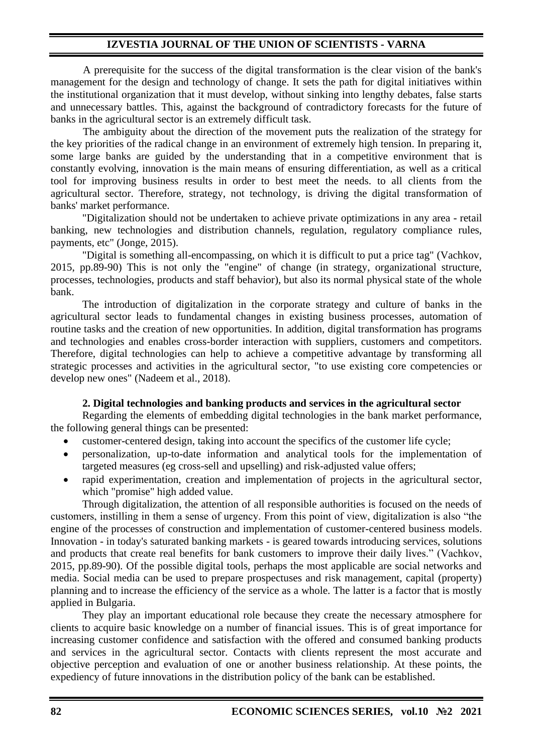## **IZVESTIA JOURNAL OF THE UNION OF SCIENTISTS - VARNA**

A prerequisite for the success of the digital transformation is the clear vision of the bank's management for the design and technology of change. It sets the path for digital initiatives within the institutional organization that it must develop, without sinking into lengthy debates, false starts and unnecessary battles. This, against the background of contradictory forecasts for the future of banks in the agricultural sector is an extremely difficult task.

The ambiguity about the direction of the movement puts the realization of the strategy for the key priorities of the radical change in an environment of extremely high tension. In preparing it, some large banks are guided by the understanding that in a competitive environment that is constantly evolving, innovation is the main means of ensuring differentiation, as well as a critical tool for improving business results in order to best meet the needs. to all clients from the agricultural sector. Therefore, strategy, not technology, is driving the digital transformation of banks' market performance.

"Digitalization should not be undertaken to achieve private optimizations in any area - retail banking, new technologies and distribution channels, regulation, regulatory compliance rules, payments, etc" (Jonge, 2015).

"Digital is something all-encompassing, on which it is difficult to put a price tag" (Vachkov, 2015, pp.89-90) This is not only the "engine" of change (in strategy, organizational structure, processes, technologies, products and staff behavior), but also its normal physical state of the whole bank.

The introduction of digitalization in the corporate strategy and culture of banks in the agricultural sector leads to fundamental changes in existing business processes, automation of routine tasks and the creation of new opportunities. In addition, digital transformation has programs and technologies and enables cross-border interaction with suppliers, customers and competitors. Therefore, digital technologies can help to achieve a competitive advantage by transforming all strategic processes and activities in the agricultural sector, "to use existing core competencies or develop new ones" (Nadeem et al., 2018).

### **2. Digital technologies and banking products and services in the agricultural sector**

Regarding the elements of embedding digital technologies in the bank market performance, the following general things can be presented:

- customer-centered design, taking into account the specifics of the customer life cycle;
- personalization, up-to-date information and analytical tools for the implementation of targeted measures (eg cross-sell and upselling) and risk-adjusted value offers;
- rapid experimentation, creation and implementation of projects in the agricultural sector, which "promise" high added value.

Through digitalization, the attention of all responsible authorities is focused on the needs of customers, instilling in them a sense of urgency. From this point of view, digitalization is also "the engine of the processes of construction and implementation of customer-centered business models. Innovation - in today's saturated banking markets - is geared towards introducing services, solutions and products that create real benefits for bank customers to improve their daily lives." (Vachkov, 2015, pp.89-90). Of the possible digital tools, perhaps the most applicable are social networks and media. Social media can be used to prepare prospectuses and risk management, capital (property) planning and to increase the efficiency of the service as a whole. The latter is a factor that is mostly applied in Bulgaria.

They play an important educational role because they create the necessary atmosphere for clients to acquire basic knowledge on a number of financial issues. This is of great importance for increasing customer confidence and satisfaction with the offered and consumed banking products and services in the agricultural sector. Contacts with clients represent the most accurate and objective perception and evaluation of one or another business relationship. At these points, the expediency of future innovations in the distribution policy of the bank can be established.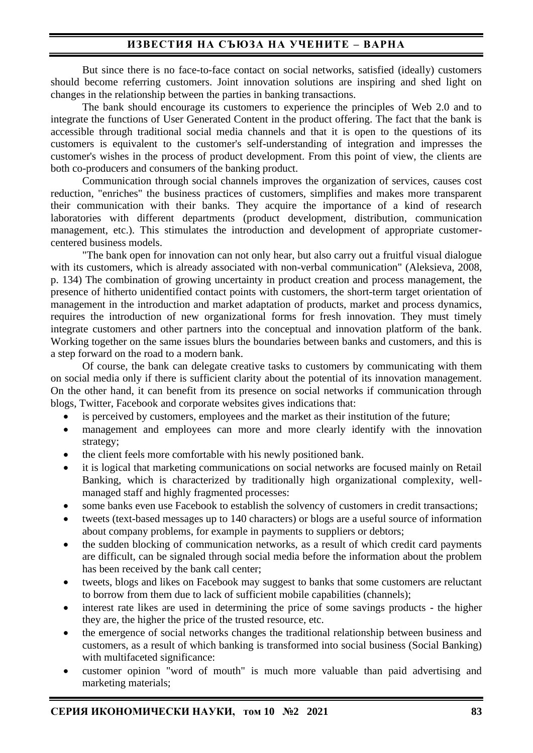# **ИЗВЕСТИЯ НА СЪЮЗА НА УЧЕНИТЕ – ВАРНА**

But since there is no face-to-face contact on social networks, satisfied (ideally) customers should become referring customers. Joint innovation solutions are inspiring and shed light on changes in the relationship between the parties in banking transactions.

The bank should encourage its customers to experience the principles of Web 2.0 and to integrate the functions of User Generated Content in the product offering. The fact that the bank is accessible through traditional social media channels and that it is open to the questions of its customers is equivalent to the customer's self-understanding of integration and impresses the customer's wishes in the process of product development. From this point of view, the clients are both co-producers and consumers of the banking product.

Communication through social channels improves the organization of services, causes cost reduction, "enriches" the business practices of customers, simplifies and makes more transparent their communication with their banks. They acquire the importance of a kind of research laboratories with different departments (product development, distribution, communication management, etc.). This stimulates the introduction and development of appropriate customercentered business models.

"The bank open for innovation can not only hear, but also carry out a fruitful visual dialogue with its customers, which is already associated with non-verbal communication" (Aleksieva, 2008, p. 134) The combination of growing uncertainty in product creation and process management, the presence of hitherto unidentified contact points with customers, the short-term target orientation of management in the introduction and market adaptation of products, market and process dynamics, requires the introduction of new organizational forms for fresh innovation. They must timely integrate customers and other partners into the conceptual and innovation platform of the bank. Working together on the same issues blurs the boundaries between banks and customers, and this is a step forward on the road to a modern bank.

Of course, the bank can delegate creative tasks to customers by communicating with them on social media only if there is sufficient clarity about the potential of its innovation management. On the other hand, it can benefit from its presence on social networks if communication through blogs, Twitter, Facebook and corporate websites gives indications that:

- is perceived by customers, employees and the market as their institution of the future;
- management and employees can more and more clearly identify with the innovation strategy;
- the client feels more comfortable with his newly positioned bank.
- it is logical that marketing communications on social networks are focused mainly on Retail Banking, which is characterized by traditionally high organizational complexity, wellmanaged staff and highly fragmented processes:
- some banks even use Facebook to establish the solvency of customers in credit transactions;
- tweets (text-based messages up to 140 characters) or blogs are a useful source of information about company problems, for example in payments to suppliers or debtors;
- the sudden blocking of communication networks, as a result of which credit card payments are difficult, can be signaled through social media before the information about the problem has been received by the bank call center;
- tweets, blogs and likes on Facebook may suggest to banks that some customers are reluctant to borrow from them due to lack of sufficient mobile capabilities (channels);
- interest rate likes are used in determining the price of some savings products the higher they are, the higher the price of the trusted resource, etc.
- the emergence of social networks changes the traditional relationship between business and customers, as a result of which banking is transformed into social business (Social Banking) with multifaceted significance:
- customer opinion "word of mouth" is much more valuable than paid advertising and marketing materials;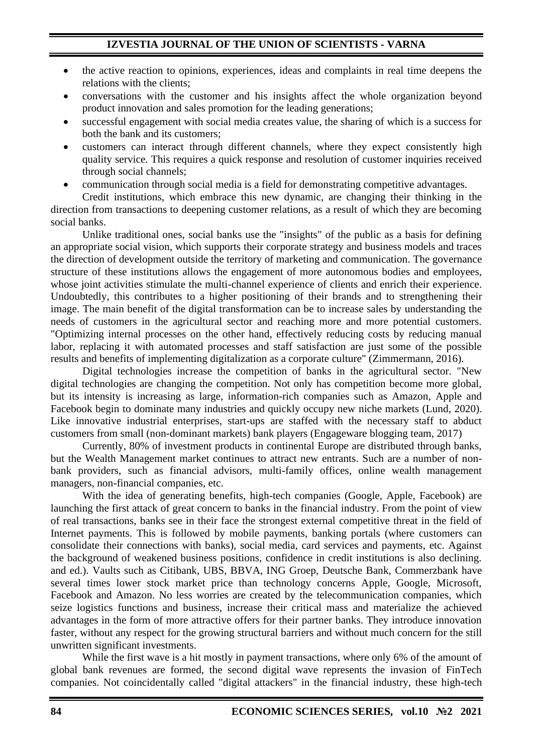- the active reaction to opinions, experiences, ideas and complaints in real time deepens the relations with the clients;
- conversations with the customer and his insights affect the whole organization beyond product innovation and sales promotion for the leading generations;
- successful engagement with social media creates value, the sharing of which is a success for both the bank and its customers;
- customers can interact through different channels, where they expect consistently high quality service. This requires a quick response and resolution of customer inquiries received through social channels;
- communication through social media is a field for demonstrating competitive advantages.

Credit institutions, which embrace this new dynamic, are changing their thinking in the direction from transactions to deepening customer relations, as a result of which they are becoming social banks.

Unlike traditional ones, social banks use the "insights" of the public as a basis for defining an appropriate social vision, which supports their corporate strategy and business models and traces the direction of development outside the territory of marketing and communication. The governance structure of these institutions allows the engagement of more autonomous bodies and employees, whose joint activities stimulate the multi-channel experience of clients and enrich their experience. Undoubtedly, this contributes to a higher positioning of their brands and to strengthening their image. The main benefit of the digital transformation can be to increase sales by understanding the needs of customers in the agricultural sector and reaching more and more potential customers. "Optimizing internal processes on the other hand, effectively reducing costs by reducing manual labor, replacing it with automated processes and staff satisfaction are just some of the possible results and benefits of implementing digitalization as a corporate culture" (Zimmermann, 2016).

Digital technologies increase the competition of banks in the agricultural sector. "New digital technologies are changing the competition. Not only has competition become more global, but its intensity is increasing as large, information-rich companies such as Amazon, Apple and Facebook begin to dominate many industries and quickly occupy new niche markets (Lund, 2020). Like innovative industrial enterprises, start-ups are staffed with the necessary staff to abduct customers from small (non-dominant markets) bank players (Engageware blogging team, 2017)

Currently, 80% of investment products in continental Europe are distributed through banks, but the Wealth Management market continues to attract new entrants. Such are a number of nonbank providers, such as financial advisors, multi-family offices, online wealth management managers, non-financial companies, etc.

With the idea of generating benefits, high-tech companies (Google, Apple, Facebook) are launching the first attack of great concern to banks in the financial industry. From the point of view of real transactions, banks see in their face the strongest external competitive threat in the field of Internet payments. This is followed by mobile payments, banking portals (where customers can consolidate their connections with banks), social media, card services and payments, etc. Against the background of weakened business positions, confidence in credit institutions is also declining. and ed.). Vaults such as Citibank, UBS, BBVA, ING Groep, Deutsche Bank, Commerzbank have several times lower stock market price than technology concerns Apple, Google, Microsoft, Facebook and Amazon. No less worries are created by the telecommunication companies, which seize logistics functions and business, increase their critical mass and materialize the achieved advantages in the form of more attractive offers for their partner banks. They introduce innovation faster, without any respect for the growing structural barriers and without much concern for the still unwritten significant investments.

While the first wave is a hit mostly in payment transactions, where only 6% of the amount of global bank revenues are formed, the second digital wave represents the invasion of FinTech companies. Not coincidentally called "digital attackers" in the financial industry, these high-tech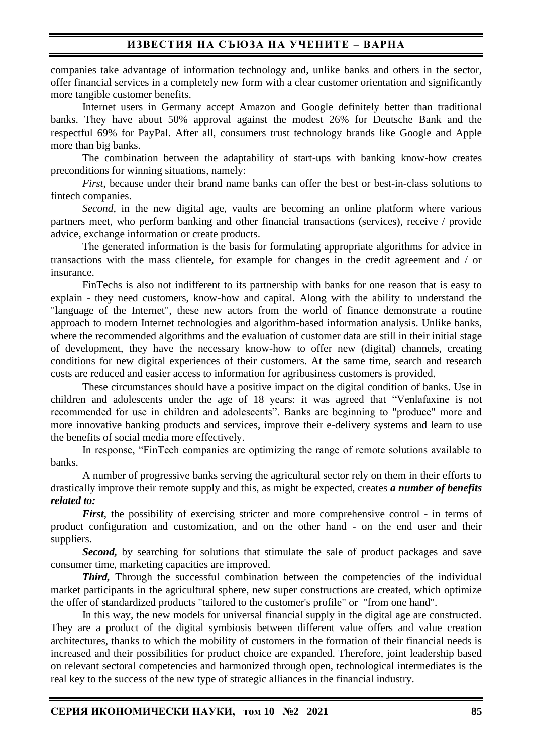companies take advantage of information technology and, unlike banks and others in the sector, offer financial services in a completely new form with a clear customer orientation and significantly more tangible customer benefits.

Internet users in Germany accept Amazon and Google definitely better than traditional banks. They have about 50% approval against the modest 26% for Deutsche Bank and the respectful 69% for PayPal. After all, consumers trust technology brands like Google and Apple more than big banks.

The combination between the adaptability of start-ups with banking know-how creates preconditions for winning situations, namely:

*First*, because under their brand name banks can offer the best or best-in-class solutions to fintech companies.

*Second,* in the new digital age, vaults are becoming an online platform where various partners meet, who perform banking and other financial transactions (services), receive / provide advice, exchange information or create products.

The generated information is the basis for formulating appropriate algorithms for advice in transactions with the mass clientele, for example for changes in the credit agreement and / or insurance.

FinTechs is also not indifferent to its partnership with banks for one reason that is easy to explain - they need customers, know-how and capital. Along with the ability to understand the "language of the Internet", these new actors from the world of finance demonstrate a routine approach to modern Internet technologies and algorithm-based information analysis. Unlike banks, where the recommended algorithms and the evaluation of customer data are still in their initial stage of development, they have the necessary know-how to offer new (digital) channels, creating conditions for new digital experiences of their customers. At the same time, search and research costs are reduced and easier access to information for agribusiness customers is provided.

These circumstances should have a positive impact on the digital condition of banks. Use in children and adolescents under the age of 18 years: it was agreed that "Venlafaxine is not recommended for use in children and adolescents". Banks are beginning to "produce" more and more innovative banking products and services, improve their e-delivery systems and learn to use the benefits of social media more effectively.

In response, "FinTech companies are optimizing the range of remote solutions available to banks.

A number of progressive banks serving the agricultural sector rely on them in their efforts to drastically improve their remote supply and this, as might be expected, creates *a number of benefits related to:*

*First*, the possibility of exercising stricter and more comprehensive control - in terms of product configuration and customization, and on the other hand - on the end user and their suppliers.

*Second*, by searching for solutions that stimulate the sale of product packages and save consumer time, marketing capacities are improved.

*Third*, Through the successful combination between the competencies of the individual market participants in the agricultural sphere, new super constructions are created, which optimize the offer of standardized products "tailored to the customer's profile" or "from one hand".

In this way, the new models for universal financial supply in the digital age are constructed. They are a product of the digital symbiosis between different value offers and value creation architectures, thanks to which the mobility of customers in the formation of their financial needs is increased and their possibilities for product choice are expanded. Therefore, joint leadership based on relevant sectoral competencies and harmonized through open, technological intermediates is the real key to the success of the new type of strategic alliances in the financial industry.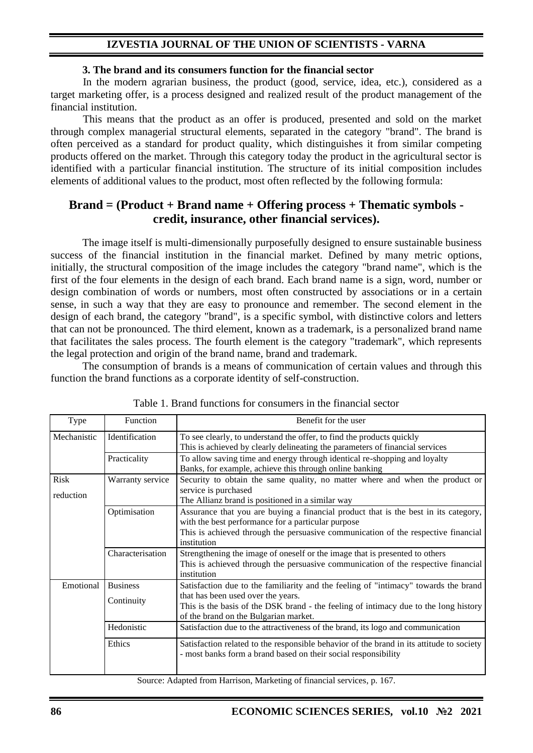## **IZVESTIA JOURNAL OF THE UNION OF SCIENTISTS - VARNA**

### **3. The brand and its consumers function for the financial sector**

In the modern agrarian business, the product (good, service, idea, etc.), considered as a target marketing offer, is a process designed and realized result of the product management of the financial institution.

This means that the product as an offer is produced, presented and sold on the market through complex managerial structural elements, separated in the category "brand". The brand is often perceived as a standard for product quality, which distinguishes it from similar competing products offered on the market. Through this category today the product in the agricultural sector is identified with a particular financial institution. The structure of its initial composition includes elements of additional values to the product, most often reflected by the following formula:

# **Brand = (Product + Brand name + Offering process + Thematic symbols credit, insurance, other financial services).**

The image itself is multi-dimensionally purposefully designed to ensure sustainable business success of the financial institution in the financial market. Defined by many metric options, initially, the structural composition of the image includes the category "brand name", which is the first of the four elements in the design of each brand. Each brand name is a sign, word, number or design combination of words or numbers, most often constructed by associations or in a certain sense, in such a way that they are easy to pronounce and remember. The second element in the design of each brand, the category "brand", is a specific symbol, with distinctive colors and letters that can not be pronounced. The third element, known as a trademark, is a personalized brand name that facilitates the sales process. The fourth element is the category "trademark", which represents the legal protection and origin of the brand name, brand and trademark.

The consumption of brands is a means of communication of certain values and through this function the brand functions as a corporate identity of self-construction.

| <b>Type</b>              | Function         | Benefit for the user                                                                                                                                                                                                                          |  |
|--------------------------|------------------|-----------------------------------------------------------------------------------------------------------------------------------------------------------------------------------------------------------------------------------------------|--|
| Mechanistic              | Identification   | To see clearly, to understand the offer, to find the products quickly<br>This is achieved by clearly delineating the parameters of financial services                                                                                         |  |
|                          | Practicality     | To allow saving time and energy through identical re-shopping and loyalty<br>Banks, for example, achieve this through online banking                                                                                                          |  |
| <b>Risk</b><br>reduction | Warranty service | Security to obtain the same quality, no matter where and when the product or<br>service is purchased<br>The Allianz brand is positioned in a similar way                                                                                      |  |
|                          | Optimisation     | Assurance that you are buying a financial product that is the best in its category,<br>with the best performance for a particular purpose<br>This is achieved through the persuasive communication of the respective financial<br>institution |  |
|                          | Characterisation | Strengthening the image of oneself or the image that is presented to others<br>This is achieved through the persuasive communication of the respective financial<br>institution                                                               |  |
| Emotional                | <b>Business</b>  | Satisfaction due to the familiarity and the feeling of "intimacy" towards the brand<br>that has been used over the years.                                                                                                                     |  |
|                          | Continuity       | This is the basis of the DSK brand - the feeling of intimacy due to the long history<br>of the brand on the Bulgarian market.                                                                                                                 |  |
|                          | Hedonistic       | Satisfaction due to the attractiveness of the brand, its logo and communication                                                                                                                                                               |  |
|                          | Ethics           | Satisfaction related to the responsible behavior of the brand in its attitude to society<br>- most banks form a brand based on their social responsibility                                                                                    |  |

Table 1. Brand functions for consumers in the financial sector

Source: Adapted from Harrison, Marketing of financial services, p. 167.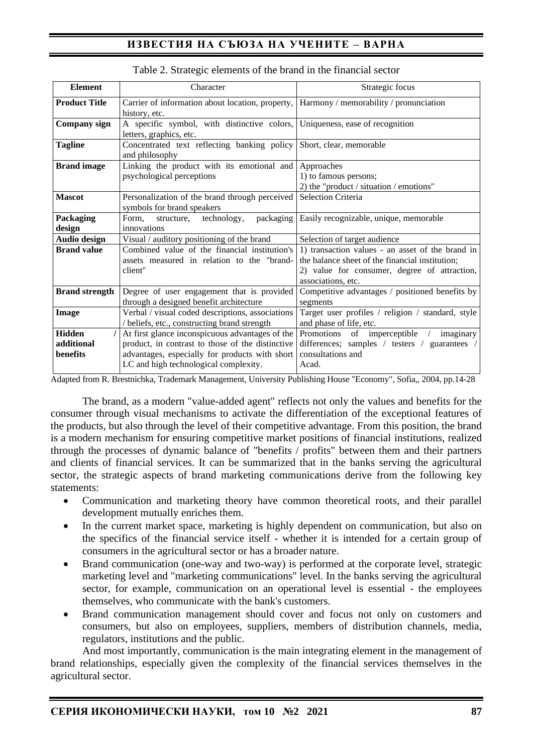# **ИЗВЕСТИЯ НА СЪЮЗА НА УЧЕНИТЕ – ВАРНА**

| <b>Element</b>                          | Character                                                                                                                                                                                      | Strategic focus                                                                                                                                                           |
|-----------------------------------------|------------------------------------------------------------------------------------------------------------------------------------------------------------------------------------------------|---------------------------------------------------------------------------------------------------------------------------------------------------------------------------|
| <b>Product Title</b>                    | Carrier of information about location, property,<br>history, etc.                                                                                                                              | Harmony / memorability / pronunciation                                                                                                                                    |
| Company sign                            | A specific symbol, with distinctive colors,<br>letters, graphics, etc.                                                                                                                         | Uniqueness, ease of recognition                                                                                                                                           |
| <b>Tagline</b>                          | Concentrated text reflecting banking policy<br>and philosophy                                                                                                                                  | Short, clear, memorable                                                                                                                                                   |
| <b>Brand</b> image                      | Linking the product with its emotional and<br>psychological perceptions                                                                                                                        | Approaches<br>1) to famous persons;<br>2) the "product / situation / emotions"                                                                                            |
| <b>Mascot</b>                           | Personalization of the brand through perceived<br>symbols for brand speakers                                                                                                                   | Selection Criteria                                                                                                                                                        |
| Packaging<br>design                     | Form,<br>structure, technology,<br>packaging<br>innovations                                                                                                                                    | Easily recognizable, unique, memorable                                                                                                                                    |
| Audio design                            | Visual / auditory positioning of the brand                                                                                                                                                     | Selection of target audience                                                                                                                                              |
| <b>Brand value</b>                      | Combined value of the financial institution's<br>assets measured in relation to the "brand-<br>client"                                                                                         | 1) transaction values - an asset of the brand in<br>the balance sheet of the financial institution:<br>2) value for consumer, degree of attraction,<br>associations, etc. |
| <b>Brand strength</b>                   | Degree of user engagement that is provided<br>through a designed benefit architecture                                                                                                          | Competitive advantages / positioned benefits by<br>segments                                                                                                               |
| Image                                   | Verbal / visual coded descriptions, associations<br>/ beliefs, etc., constructing brand strength                                                                                               | Target user profiles / religion / standard, style<br>and phase of life, etc.                                                                                              |
| <b>Hidden</b><br>additional<br>benefits | At first glance inconspicuous advantages of the<br>product, in contrast to those of the distinctive<br>advantages, especially for products with short<br>LC and high technological complexity. | Promotions of imperceptible /<br>imaginary<br>differences; samples / testers / guarantees /<br>consultations and<br>Acad.                                                 |

#### Table 2. Strategic elements of the brand in the financial sector

Adapted from R. Brestnichka, Trademark Management, University Publishing House "Economy", Sofia,, 2004, pp.14-28

The brand, as a modern "value-added agent" reflects not only the values and benefits for the consumer through visual mechanisms to activate the differentiation of the exceptional features of the products, but also through the level of their competitive advantage. From this position, the brand is a modern mechanism for ensuring competitive market positions of financial institutions, realized through the processes of dynamic balance of "benefits / profits" between them and their partners and clients of financial services. It can be summarized that in the banks serving the agricultural sector, the strategic aspects of brand marketing communications derive from the following key statements:

- Communication and marketing theory have common theoretical roots, and their parallel development mutually enriches them.
- In the current market space, marketing is highly dependent on communication, but also on the specifics of the financial service itself - whether it is intended for a certain group of consumers in the agricultural sector or has a broader nature.
- Brand communication (one-way and two-way) is performed at the corporate level, strategic marketing level and "marketing communications" level. In the banks serving the agricultural sector, for example, communication on an operational level is essential - the employees themselves, who communicate with the bank's customers.
- Brand communication management should cover and focus not only on customers and consumers, but also on employees, suppliers, members of distribution channels, media, regulators, institutions and the public.

And most importantly, communication is the main integrating element in the management of brand relationships, especially given the complexity of the financial services themselves in the agricultural sector.